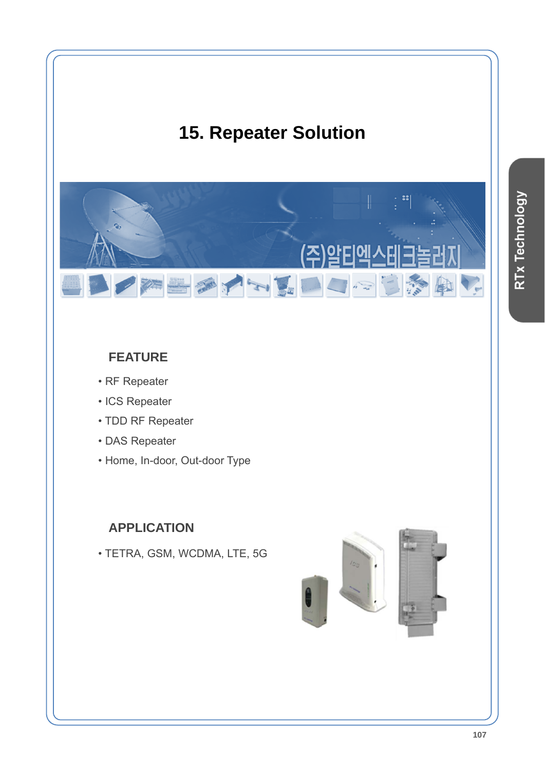

# **FEATURE**

- RF Repeater
- ICS Repeater
- TDD RF Repeater
- DAS Repeater
- Home, In-door, Out-door Type

# **APPLICATION**

• TETRA, GSM, WCDMA, LTE, 5G

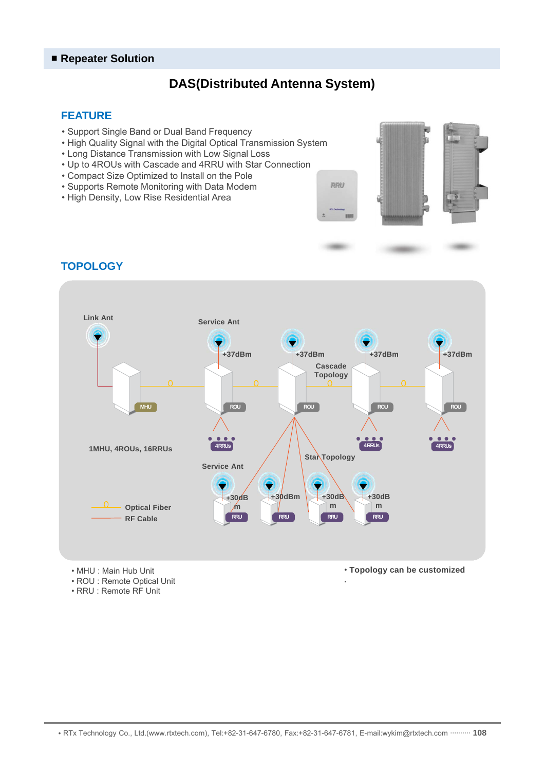## **DAS(Distributed Antenna System)**

#### **FEATURE**

- Support Single Band or Dual Band Frequency
- High Quality Signal with the Digital Optical Transmission System
- Long Distance Transmission with Low Signal Loss
- Up to 4ROUs with Cascade and 4RRU with Star Connection
- Compact Size Optimized to Install on the Pole
- Supports Remote Monitoring with Data Modem
- High Density, Low Rise Residential Area





### **TOPOLOGY**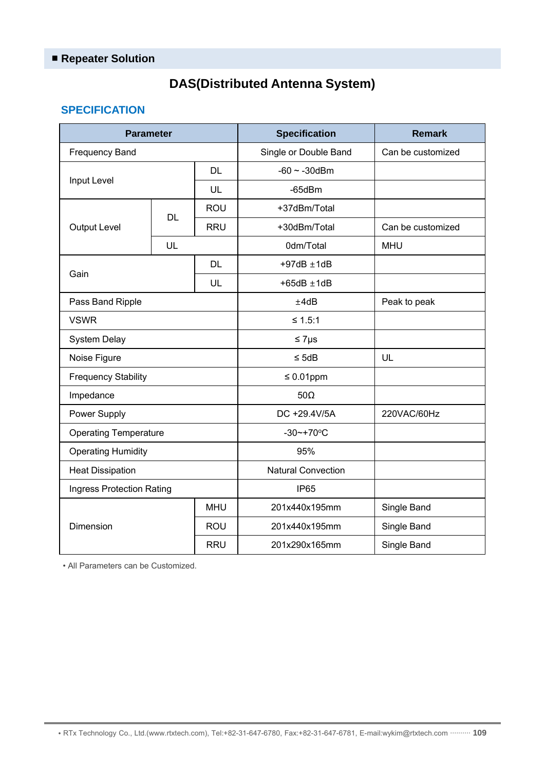# **DAS(Distributed Antenna System)**

### **SPECIFICATION**

| <b>Parameter</b>                 |           |                       | <b>Specification</b>      | <b>Remark</b>     |
|----------------------------------|-----------|-----------------------|---------------------------|-------------------|
| <b>Frequency Band</b>            |           | Single or Double Band | Can be customized         |                   |
| Input Level                      |           | <b>DL</b>             | $-60 \sim -30$ dBm        |                   |
|                                  |           | UL                    | $-65$ d $Bm$              |                   |
|                                  | <b>DL</b> | <b>ROU</b>            | +37dBm/Total              |                   |
| <b>Output Level</b>              |           | <b>RRU</b>            | +30dBm/Total              | Can be customized |
|                                  | UL        |                       | 0dm/Total                 | <b>MHU</b>        |
| Gain                             |           |                       | $+97dB \pm 1dB$           |                   |
|                                  |           | UL                    | $+65dB \pm 1dB$           |                   |
| Pass Band Ripple                 |           | ±4dB                  | Peak to peak              |                   |
| <b>VSWR</b>                      |           | ≤ 1.5:1               |                           |                   |
| <b>System Delay</b>              |           | $\leq 7 \mu s$        |                           |                   |
| Noise Figure                     |           | $\leq$ 5dB            | UL                        |                   |
| <b>Frequency Stability</b>       |           | $\leq 0.01$ ppm       |                           |                   |
| Impedance                        |           | $50\Omega$            |                           |                   |
| Power Supply                     |           | DC +29.4V/5A          | 220VAC/60Hz               |                   |
| <b>Operating Temperature</b>     |           |                       | $-30$ ~+70°C              |                   |
| <b>Operating Humidity</b>        |           |                       | 95%                       |                   |
| <b>Heat Dissipation</b>          |           |                       | <b>Natural Convection</b> |                   |
| <b>Ingress Protection Rating</b> |           | IP <sub>65</sub>      |                           |                   |
|                                  |           | <b>MHU</b>            | 201x440x195mm             | Single Band       |
| Dimension                        |           | <b>ROU</b>            | 201x440x195mm             | Single Band       |
|                                  |           | <b>RRU</b>            | 201x290x165mm             | Single Band       |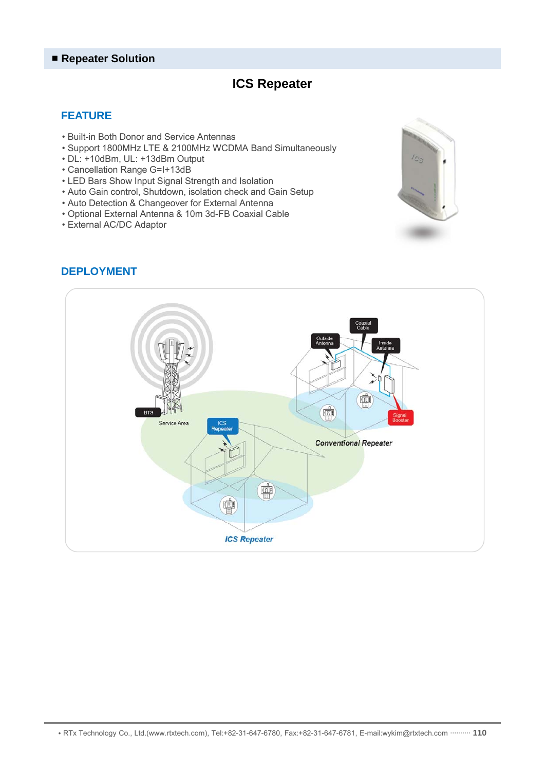# **ICS Repeater**

### **FEATURE**

- Built-in Both Donor and Service Antennas
- Support 1800MHz LTE & 2100MHz WCDMA Band Simultaneously
- DL: +10dBm, UL: +13dBm Output
- Cancellation Range G=I+13dB
- LED Bars Show Input Signal Strength and Isolation
- Auto Gain control, Shutdown, isolation check and Gain Setup
- Auto Detection & Changeover for External Antenna
- Optional External Antenna & 10m 3d-FB Coaxial Cable
- External AC/DC Adaptor





### **DEPLOYMENT**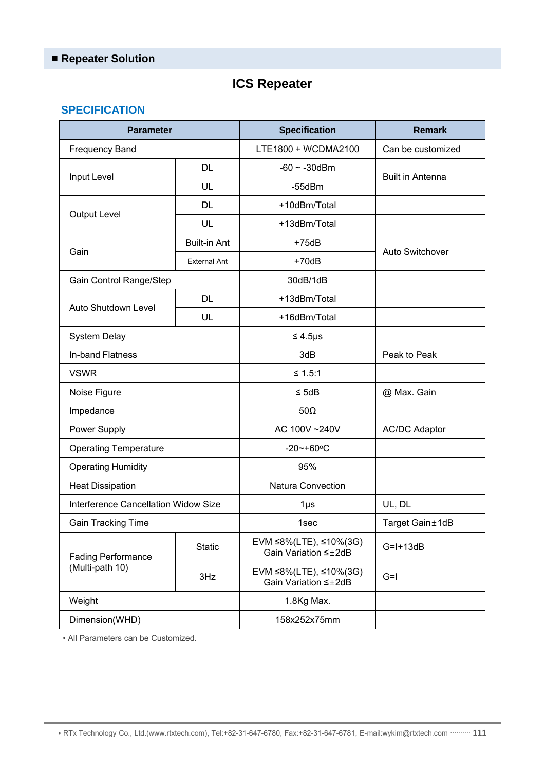# **ICS Repeater**

### **SPECIFICATION**

| <b>Parameter</b>                             |                     | <b>Specification</b>                           | <b>Remark</b>           |
|----------------------------------------------|---------------------|------------------------------------------------|-------------------------|
| <b>Frequency Band</b>                        |                     | LTE1800 + WCDMA2100                            | Can be customized       |
| Input Level                                  | <b>DL</b>           | $-60 \sim -30$ dBm                             | <b>Built in Antenna</b> |
|                                              | UL                  | $-55$ d $Bm$                                   |                         |
|                                              | DL                  | +10dBm/Total                                   |                         |
| <b>Output Level</b>                          | UL                  | +13dBm/Total                                   |                         |
|                                              | <b>Built-in Ant</b> | $+75dB$                                        | Auto Switchover         |
| Gain                                         | <b>External Ant</b> | $+70dB$                                        |                         |
| Gain Control Range/Step                      |                     | 30dB/1dB                                       |                         |
| Auto Shutdown Level                          | <b>DL</b>           | +13dBm/Total                                   |                         |
|                                              | UL                  | +16dBm/Total                                   |                         |
| <b>System Delay</b>                          |                     | ≤ 4.5 $µ$ s                                    |                         |
| In-band Flatness                             |                     | 3dB                                            | Peak to Peak            |
| <b>VSWR</b>                                  |                     | ≤ 1.5:1                                        |                         |
| Noise Figure                                 |                     | $\leq$ 5dB                                     | @ Max. Gain             |
| Impedance                                    |                     | $50\Omega$                                     |                         |
| Power Supply                                 |                     | AC 100V~240V                                   | <b>AC/DC Adaptor</b>    |
| <b>Operating Temperature</b>                 |                     | $-20$ ~+60°C                                   |                         |
| <b>Operating Humidity</b>                    |                     | 95%                                            |                         |
| <b>Heat Dissipation</b>                      |                     | <b>Natura Convection</b>                       |                         |
| Interference Cancellation Widow Size         |                     | $1\mu$ s                                       | UL, DL                  |
| <b>Gain Tracking Time</b>                    |                     | 1sec                                           | Target Gain ± 1dB       |
| <b>Fading Performance</b><br>(Multi-path 10) | <b>Static</b>       | EVM ≤8%(LTE), ≤10%(3G)<br>Gain Variation ≤±2dB | $G=I+13dB$              |
|                                              | 3Hz                 | EVM ≤8%(LTE), ≤10%(3G)<br>Gain Variation ≤±2dB | $G=$                    |
| Weight                                       |                     | 1.8Kg Max.                                     |                         |
| Dimension(WHD)                               |                     | 158x252x75mm                                   |                         |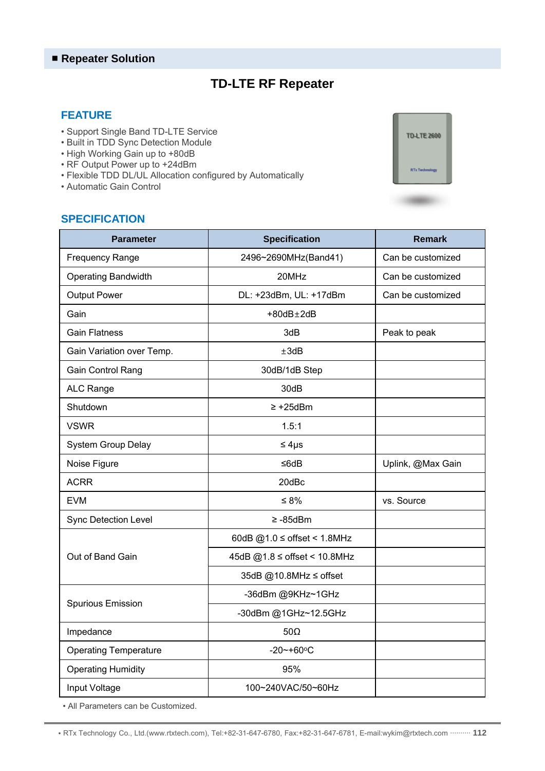# **TD-LTE RF Repeater**

#### **FEATURE**

- Support Single Band TD-LTE Service
- Built in TDD Sync Detection Module
- High Working Gain up to +80dB
- RF Output Power up to +24dBm
- Flexible TDD DL/UL Allocation configured by Automatically
- Automatic Gain Control

### **SPECIFICATION**



| <b>Parameter</b>             | <b>Specification</b>             | <b>Remark</b>     |
|------------------------------|----------------------------------|-------------------|
| <b>Frequency Range</b>       | 2496~2690MHz(Band41)             | Can be customized |
| <b>Operating Bandwidth</b>   | 20MHz                            | Can be customized |
| <b>Output Power</b>          | DL: +23dBm, UL: +17dBm           | Can be customized |
| Gain                         | $+80dB \pm 2dB$                  |                   |
| <b>Gain Flatness</b>         | 3dB                              | Peak to peak      |
| Gain Variation over Temp.    | ±3dB                             |                   |
| Gain Control Rang            | 30dB/1dB Step                    |                   |
| ALC Range                    | 30dB                             |                   |
| Shutdown                     | $\geq$ +25dBm                    |                   |
| <b>VSWR</b>                  | 1.5:1                            |                   |
| System Group Delay           | $\leq 4\mu s$                    |                   |
| Noise Figure                 | $≤6dB$                           | Uplink, @Max Gain |
| <b>ACRR</b>                  | 20dBc                            |                   |
| <b>EVM</b>                   | $\leq 8\%$                       | vs. Source        |
| <b>Sync Detection Level</b>  | $\geq -85$ dBm                   |                   |
|                              | 60dB $@1.0 \leq$ offset < 1.8MHz |                   |
| Out of Band Gain             | 45dB @1.8 ≤ offset < 10.8MHz     |                   |
|                              | 35dB @10.8MHz ≤ offset           |                   |
|                              | -36dBm @9KHz~1GHz                |                   |
| <b>Spurious Emission</b>     | -30dBm @1GHz~12.5GHz             |                   |
| Impedance                    | $50\Omega$                       |                   |
| <b>Operating Temperature</b> | $-20$ ~+60°C                     |                   |
| <b>Operating Humidity</b>    | 95%                              |                   |
| Input Voltage                | 100~240VAC/50~60Hz               |                   |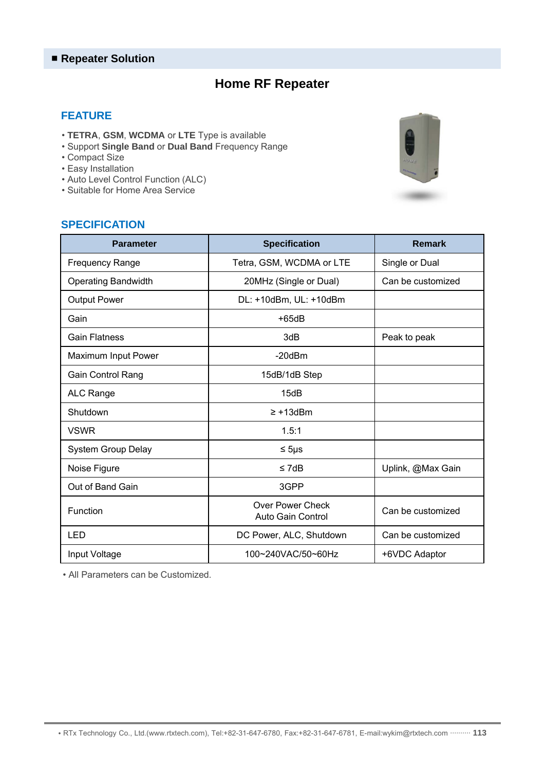# **Home RF Repeater**

### **FEATURE**

- **TETRA**, **GSM**, **WCDMA** or **LTE** Type is available
- Support **Single Band** or **Dual Band** Frequency Range
- Compact Size
- Easy Installation
- Auto Level Control Function (ALC)
- Suitable for Home Area Service

#### **SPECIFICATION**

| HOME |   |
|------|---|
|      | × |
|      |   |
|      |   |

| <b>Parameter</b>           | <b>Specification</b>                                | <b>Remark</b>     |
|----------------------------|-----------------------------------------------------|-------------------|
| <b>Frequency Range</b>     | Tetra, GSM, WCDMA or LTE                            | Single or Dual    |
| <b>Operating Bandwidth</b> | 20MHz (Single or Dual)                              | Can be customized |
| <b>Output Power</b>        | DL: +10dBm, UL: +10dBm                              |                   |
| Gain                       | $+65dB$                                             |                   |
| <b>Gain Flatness</b>       | 3dB                                                 | Peak to peak      |
| Maximum Input Power        | $-20$ d $Bm$                                        |                   |
| Gain Control Rang          | 15dB/1dB Step                                       |                   |
| <b>ALC Range</b>           | 15dB                                                |                   |
| Shutdown                   | $\geq$ +13dBm                                       |                   |
| <b>VSWR</b>                | 1.5:1                                               |                   |
| System Group Delay         | ≤ 5µs                                               |                   |
| Noise Figure               | $\leq 7dB$                                          | Uplink, @Max Gain |
| Out of Band Gain           | 3GPP                                                |                   |
| Function                   | <b>Over Power Check</b><br><b>Auto Gain Control</b> | Can be customized |
| <b>LED</b>                 | DC Power, ALC, Shutdown                             | Can be customized |
| Input Voltage              | 100~240VAC/50~60Hz                                  | +6VDC Adaptor     |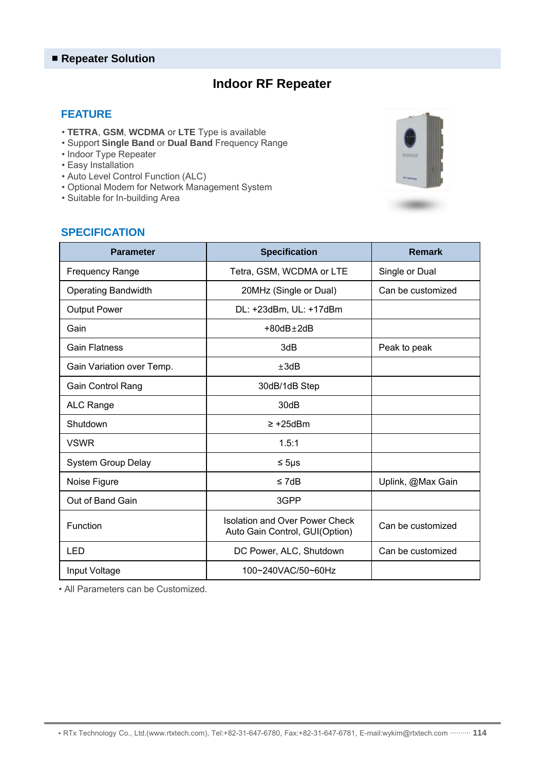# **Indoor RF Repeater**

#### **FEATURE**

- **TETRA**, **GSM**, **WCDMA** or **LTE** Type is available
- Support **Single Band** or **Dual Band** Frequency Range
- Indoor Type Repeater
- Easy Installation
- Auto Level Control Function (ALC)
- Optional Modem for Network Management System
- Suitable for In-building Area

#### **SPECIFICATION**



| <b>Parameter</b>           | <b>Specification</b>                                                    | <b>Remark</b>     |
|----------------------------|-------------------------------------------------------------------------|-------------------|
| <b>Frequency Range</b>     | Tetra, GSM, WCDMA or LTE                                                | Single or Dual    |
| <b>Operating Bandwidth</b> | 20MHz (Single or Dual)                                                  | Can be customized |
| <b>Output Power</b>        | DL: +23dBm, UL: +17dBm                                                  |                   |
| Gain                       | $+80dB \pm 2dB$                                                         |                   |
| <b>Gain Flatness</b>       | 3dB                                                                     | Peak to peak      |
| Gain Variation over Temp.  | ±3dB                                                                    |                   |
| <b>Gain Control Rang</b>   | 30dB/1dB Step                                                           |                   |
| <b>ALC Range</b>           | 30dB                                                                    |                   |
| Shutdown                   | $\geq$ +25dBm                                                           |                   |
| <b>VSWR</b>                | 1.5:1                                                                   |                   |
| System Group Delay         | $\leq 5 \mu s$                                                          |                   |
| Noise Figure               | $\leq 7$ dB                                                             | Uplink, @Max Gain |
| Out of Band Gain           | 3GPP                                                                    |                   |
| Function                   | <b>Isolation and Over Power Check</b><br>Auto Gain Control, GUI(Option) | Can be customized |
| <b>LED</b>                 | DC Power, ALC, Shutdown                                                 | Can be customized |
| Input Voltage              | 100~240VAC/50~60Hz                                                      |                   |